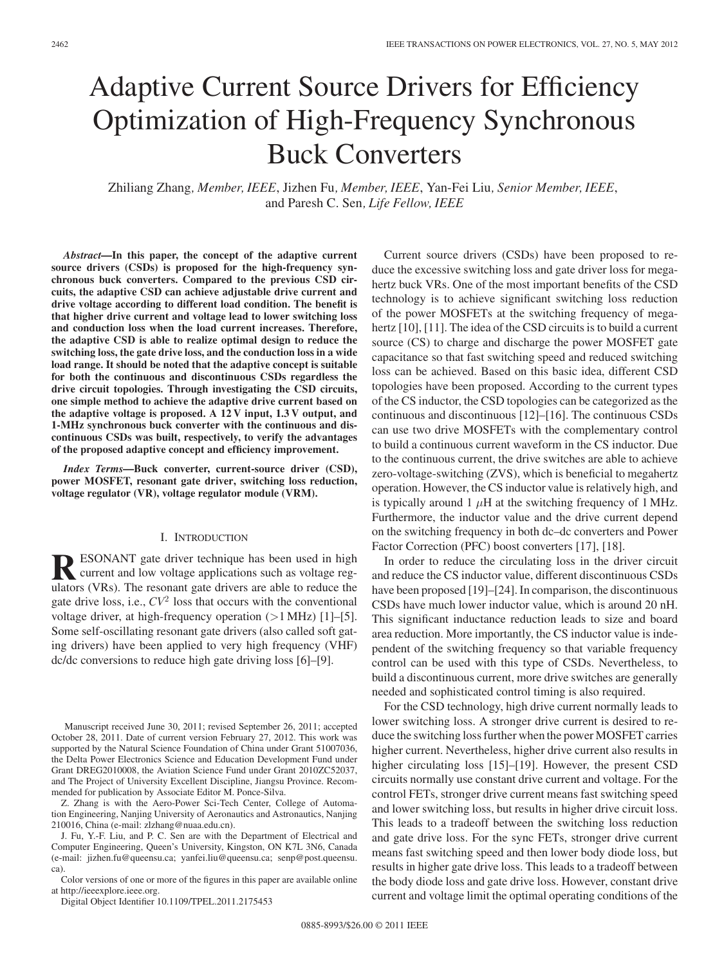# Adaptive Current Source Drivers for Efficiency Optimization of High-Frequency Synchronous Buck Converters

Zhiliang Zhang*, Member, IEEE*, Jizhen Fu*, Member, IEEE*, Yan-Fei Liu*, Senior Member, IEEE*, and Paresh C. Sen*, Life Fellow, IEEE*

*Abstract***—In this paper, the concept of the adaptive current source drivers (CSDs) is proposed for the high-frequency synchronous buck converters. Compared to the previous CSD circuits, the adaptive CSD can achieve adjustable drive current and drive voltage according to different load condition. The benefit is that higher drive current and voltage lead to lower switching loss and conduction loss when the load current increases. Therefore, the adaptive CSD is able to realize optimal design to reduce the switching loss, the gate drive loss, and the conduction loss in a wide load range. It should be noted that the adaptive concept is suitable for both the continuous and discontinuous CSDs regardless the drive circuit topologies. Through investigating the CSD circuits, one simple method to achieve the adaptive drive current based on the adaptive voltage is proposed. A 12 V input, 1.3 V output, and 1-MHz synchronous buck converter with the continuous and discontinuous CSDs was built, respectively, to verify the advantages of the proposed adaptive concept and efficiency improvement.**

*Index Terms***—Buck converter, current-source driver (CSD), power MOSFET, resonant gate driver, switching loss reduction, voltage regulator (VR), voltage regulator module (VRM).**

## I. INTRODUCTION

**RESONANT** gate driver technique has been used in high current and low voltage applications such as voltage regulators (VRs). The resonant gate drivers are able to reduce the gate drive loss, i.e., *CV*<sup>2</sup> loss that occurs with the conventional voltage driver, at high-frequency operation  $(>1$  MHz) [1]–[5]. Some self-oscillating resonant gate drivers (also called soft gating drivers) have been applied to very high frequency (VHF) dc/dc conversions to reduce high gate driving loss [6]–[9].

Manuscript received June 30, 2011; revised September 26, 2011; accepted October 28, 2011. Date of current version February 27, 2012. This work was supported by the Natural Science Foundation of China under Grant 51007036, the Delta Power Electronics Science and Education Development Fund under Grant DREG2010008, the Aviation Science Fund under Grant 2010ZC52037, and The Project of University Excellent Discipline, Jiangsu Province. Recommended for publication by Associate Editor M. Ponce-Silva.

Z. Zhang is with the Aero-Power Sci-Tech Center, College of Automation Engineering, Nanjing University of Aeronautics and Astronautics, Nanjing 210016, China (e-mail: zlzhang@nuaa.edu.cn).

J. Fu, Y.-F. Liu, and P. C. Sen are with the Department of Electrical and Computer Engineering, Queen's University, Kingston, ON K7L 3N6, Canada (e-mail: jizhen.fu@queensu.ca; yanfei.liu@queensu.ca; senp@post.queensu. ca).

Color versions of one or more of the figures in this paper are available online at http://ieeexplore.ieee.org.

Digital Object Identifier 10.1109/TPEL.2011.2175453

Current source drivers (CSDs) have been proposed to reduce the excessive switching loss and gate driver loss for megahertz buck VRs. One of the most important benefits of the CSD technology is to achieve significant switching loss reduction of the power MOSFETs at the switching frequency of megahertz [10], [11]. The idea of the CSD circuits is to build a current source (CS) to charge and discharge the power MOSFET gate capacitance so that fast switching speed and reduced switching loss can be achieved. Based on this basic idea, different CSD topologies have been proposed. According to the current types of the CS inductor, the CSD topologies can be categorized as the continuous and discontinuous [12]–[16]. The continuous CSDs can use two drive MOSFETs with the complementary control to build a continuous current waveform in the CS inductor. Due to the continuous current, the drive switches are able to achieve zero-voltage-switching (ZVS), which is beneficial to megahertz operation. However, the CS inductor value is relatively high, and is typically around 1  $\mu$ H at the switching frequency of 1 MHz. Furthermore, the inductor value and the drive current depend on the switching frequency in both dc–dc converters and Power Factor Correction (PFC) boost converters [17], [18].

In order to reduce the circulating loss in the driver circuit and reduce the CS inductor value, different discontinuous CSDs have been proposed [19]–[24]. In comparison, the discontinuous CSDs have much lower inductor value, which is around 20 nH. This significant inductance reduction leads to size and board area reduction. More importantly, the CS inductor value is independent of the switching frequency so that variable frequency control can be used with this type of CSDs. Nevertheless, to build a discontinuous current, more drive switches are generally needed and sophisticated control timing is also required.

For the CSD technology, high drive current normally leads to lower switching loss. A stronger drive current is desired to reduce the switching loss further when the power MOSFET carries higher current. Nevertheless, higher drive current also results in higher circulating loss [15]–[19]. However, the present CSD circuits normally use constant drive current and voltage. For the control FETs, stronger drive current means fast switching speed and lower switching loss, but results in higher drive circuit loss. This leads to a tradeoff between the switching loss reduction and gate drive loss. For the sync FETs, stronger drive current means fast switching speed and then lower body diode loss, but results in higher gate drive loss. This leads to a tradeoff between the body diode loss and gate drive loss. However, constant drive current and voltage limit the optimal operating conditions of the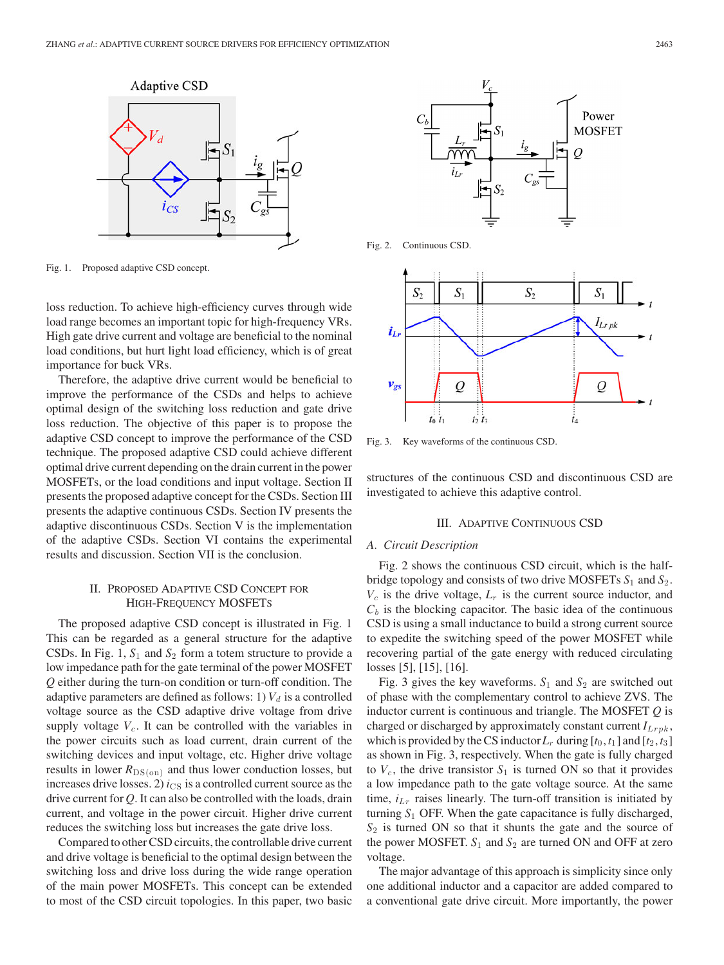

Fig. 1. Proposed adaptive CSD concept.

loss reduction. To achieve high-efficiency curves through wide load range becomes an important topic for high-frequency VRs. High gate drive current and voltage are beneficial to the nominal load conditions, but hurt light load efficiency, which is of great importance for buck VRs.

Therefore, the adaptive drive current would be beneficial to improve the performance of the CSDs and helps to achieve optimal design of the switching loss reduction and gate drive loss reduction. The objective of this paper is to propose the adaptive CSD concept to improve the performance of the CSD technique. The proposed adaptive CSD could achieve different optimal drive current depending on the drain current in the power MOSFETs, or the load conditions and input voltage. Section II presents the proposed adaptive concept for the CSDs. Section III presents the adaptive continuous CSDs. Section IV presents the adaptive discontinuous CSDs. Section V is the implementation of the adaptive CSDs. Section VI contains the experimental results and discussion. Section VII is the conclusion.

# II. PROPOSED ADAPTIVE CSD CONCEPT FOR HIGH-FREQUENCY MOSFETS

The proposed adaptive CSD concept is illustrated in Fig. 1 This can be regarded as a general structure for the adaptive CSDs. In Fig. 1,  $S_1$  and  $S_2$  form a totem structure to provide a low impedance path for the gate terminal of the power MOSFET *Q* either during the turn-on condition or turn-off condition. The adaptive parameters are defined as follows: 1)  $V_d$  is a controlled voltage source as the CSD adaptive drive voltage from drive supply voltage  $V_c$ . It can be controlled with the variables in the power circuits such as load current, drain current of the switching devices and input voltage, etc. Higher drive voltage results in lower  $R_{DS(on)}$  and thus lower conduction losses, but increases drive losses. 2)  $i_{\text{CS}}$  is a controlled current source as the drive current for *Q*. It can also be controlled with the loads, drain current, and voltage in the power circuit. Higher drive current reduces the switching loss but increases the gate drive loss.

Compared to other CSD circuits, the controllable drive current and drive voltage is beneficial to the optimal design between the switching loss and drive loss during the wide range operation of the main power MOSFETs. This concept can be extended to most of the CSD circuit topologies. In this paper, two basic



Fig. 2. Continuous CSD.



Fig. 3. Key waveforms of the continuous CSD.

structures of the continuous CSD and discontinuous CSD are investigated to achieve this adaptive control.

#### III. ADAPTIVE CONTINUOUS CSD

#### *A. Circuit Description*

Fig. 2 shows the continuous CSD circuit, which is the halfbridge topology and consists of two drive MOSFETs *S*<sup>1</sup> and *S*<sup>2</sup> .  $V_c$  is the drive voltage,  $L_r$  is the current source inductor, and  $C_b$  is the blocking capacitor. The basic idea of the continuous CSD is using a small inductance to build a strong current source to expedite the switching speed of the power MOSFET while recovering partial of the gate energy with reduced circulating losses [5], [15], [16].

Fig. 3 gives the key waveforms.  $S_1$  and  $S_2$  are switched out of phase with the complementary control to achieve ZVS. The inductor current is continuous and triangle. The MOSFET *Q* is charged or discharged by approximately constant current  $I_{Lrpk}$ , which is provided by the CS inductor  $L_r$  during  $[t_0, t_1]$  and  $[t_2, t_3]$ as shown in Fig. 3, respectively. When the gate is fully charged to  $V_c$ , the drive transistor  $S_1$  is turned ON so that it provides a low impedance path to the gate voltage source. At the same time,  $i_{Lr}$  raises linearly. The turn-off transition is initiated by turning  $S_1$  OFF. When the gate capacitance is fully discharged, *S*<sup>2</sup> is turned ON so that it shunts the gate and the source of the power MOSFET.  $S_1$  and  $S_2$  are turned ON and OFF at zero voltage.

The major advantage of this approach is simplicity since only one additional inductor and a capacitor are added compared to a conventional gate drive circuit. More importantly, the power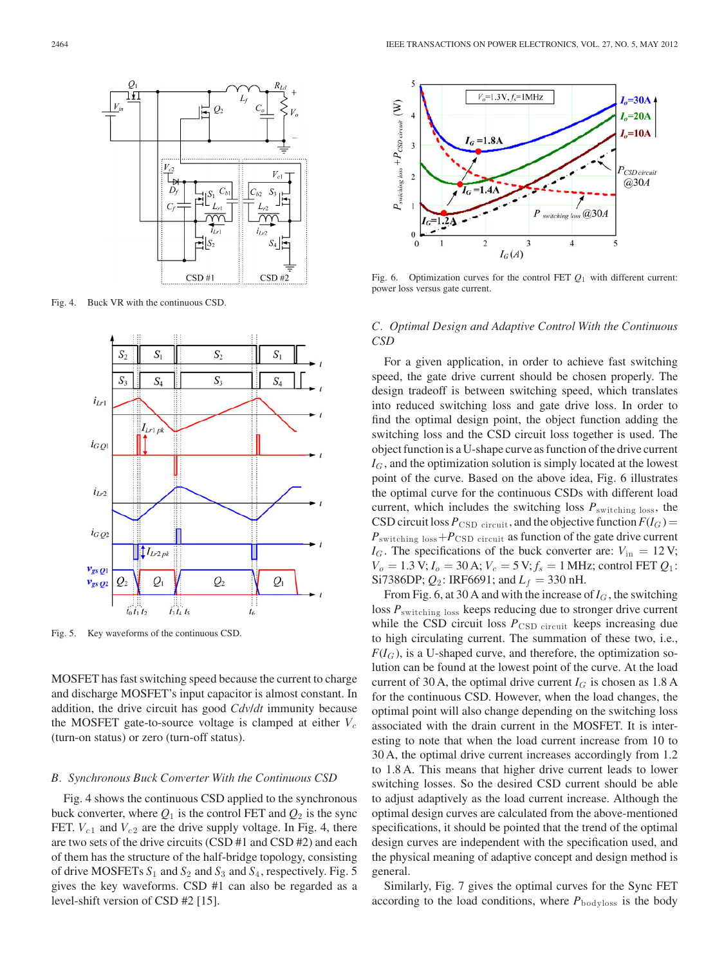

Fig. 4. Buck VR with the continuous CSD.



Fig. 5. Key waveforms of the continuous CSD.

MOSFET has fast switching speed because the current to charge and discharge MOSFET's input capacitor is almost constant. In addition, the drive circuit has good *Cdv*/*dt* immunity because the MOSFET gate-to-source voltage is clamped at either  $V_c$ (turn-on status) or zero (turn-off status).

## *B. Synchronous Buck Converter With the Continuous CSD*

Fig. 4 shows the continuous CSD applied to the synchronous buck converter, where  $Q_1$  is the control FET and  $Q_2$  is the sync FET.  $V_{c1}$  and  $V_{c2}$  are the drive supply voltage. In Fig. 4, there are two sets of the drive circuits (CSD #1 and CSD #2) and each of them has the structure of the half-bridge topology, consisting of drive MOSFETs  $S_1$  and  $S_2$  and  $S_3$  and  $S_4$ , respectively. Fig. 5 gives the key waveforms. CSD #1 can also be regarded as a level-shift version of CSD #2 [15].



Fig. 6. Optimization curves for the control FET *Q*<sup>1</sup> with different current: power loss versus gate current.

# *C. Optimal Design and Adaptive Control With the Continuous CSD*

For a given application, in order to achieve fast switching speed, the gate drive current should be chosen properly. The design tradeoff is between switching speed, which translates into reduced switching loss and gate drive loss. In order to find the optimal design point, the object function adding the switching loss and the CSD circuit loss together is used. The object function is a U-shape curve as function of the drive current  $I_G$ , and the optimization solution is simply located at the lowest point of the curve. Based on the above idea, Fig. 6 illustrates the optimal curve for the continuous CSDs with different load current, which includes the switching loss *P*switching loss, the CSD circuit loss  $P_{\text{CSD circuit}}$ , and the objective function  $F(I_G)$  =  $P_{\text{switching loss}} + P_{\text{CSD circuit}}$  as function of the gate drive current  $I_G$ . The specifications of the buck converter are:  $V_{\text{in}} = 12 \text{ V}$ ;  $V_o = 1.3 \text{ V}; I_o = 30 \text{ A}; V_c = 5 \text{ V}; f_s = 1 \text{ MHz}; \text{control FET } Q_1$ : Si7386DP;  $Q_2$ : IRF6691; and  $L_f = 330$  nH.

From Fig. 6, at 30 A and with the increase of  $I_G$ , the switching loss  $P_{\text{switching loss}}$  keeps reducing due to stronger drive current while the CSD circuit loss  $P_{\text{CSD circuit}}$  keeps increasing due to high circulating current. The summation of these two, i.e.,  $F(I_G)$ , is a U-shaped curve, and therefore, the optimization solution can be found at the lowest point of the curve. At the load current of 30 A, the optimal drive current  $I_G$  is chosen as 1.8 A for the continuous CSD. However, when the load changes, the optimal point will also change depending on the switching loss associated with the drain current in the MOSFET. It is interesting to note that when the load current increase from 10 to 30 A, the optimal drive current increases accordingly from 1.2 to 1.8 A. This means that higher drive current leads to lower switching losses. So the desired CSD current should be able to adjust adaptively as the load current increase. Although the optimal design curves are calculated from the above-mentioned specifications, it should be pointed that the trend of the optimal design curves are independent with the specification used, and the physical meaning of adaptive concept and design method is general.

Similarly, Fig. 7 gives the optimal curves for the Sync FET according to the load conditions, where  $P_{\text{bodyloss}}$  is the body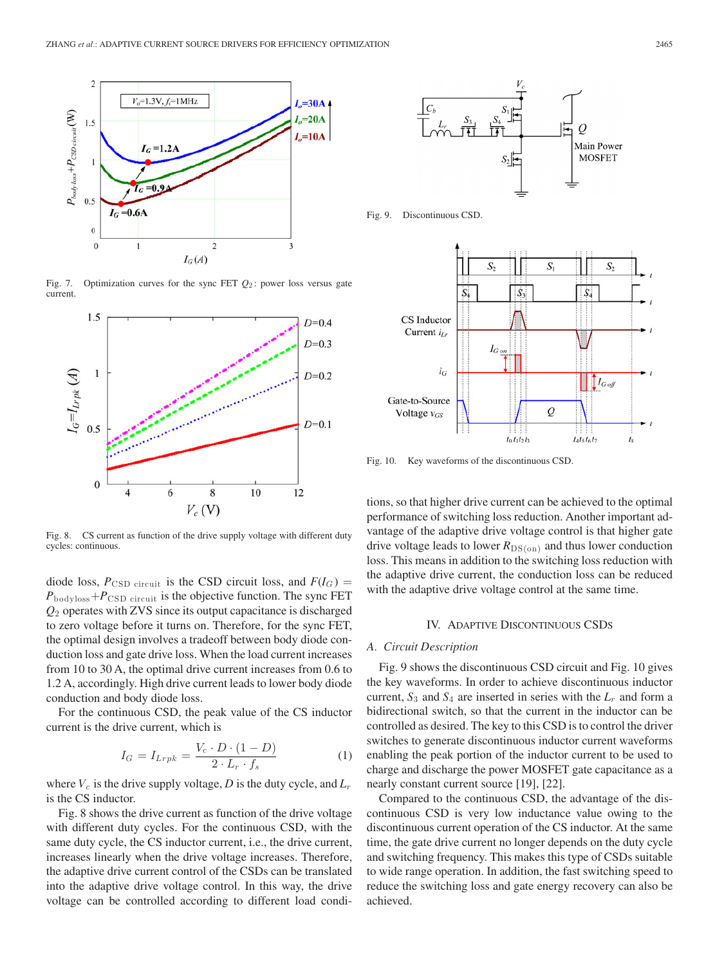

Fig. 7. Optimization curves for the sync FET *Q*<sup>2</sup> : power loss versus gate current.



Fig. 8. CS current as function of the drive supply voltage with different duty cycles: continuous.

diode loss,  $P_{\text{CSD circuit}}$  is the CSD circuit loss, and  $F(I_G)$  =  $P_{\text{bodyloss}} + P_{\text{CSD circuit}}$  is the objective function. The sync FET *Q*<sup>2</sup> operates with ZVS since its output capacitance is discharged to zero voltage before it turns on. Therefore, for the sync FET, the optimal design involves a tradeoff between body diode conduction loss and gate drive loss. When the load current increases from 10 to 30 A, the optimal drive current increases from 0.6 to 1.2 A, accordingly. High drive current leads to lower body diode conduction and body diode loss.

For the continuous CSD, the peak value of the CS inductor current is the drive current, which is

$$
I_G = I_{Lrpk} = \frac{V_c \cdot D \cdot (1 - D)}{2 \cdot L_r \cdot f_s} \tag{1}
$$

where  $V_c$  is the drive supply voltage, *D* is the duty cycle, and  $L_r$ is the CS inductor.

Fig. 8 shows the drive current as function of the drive voltage with different duty cycles. For the continuous CSD, with the same duty cycle, the CS inductor current, i.e., the drive current, increases linearly when the drive voltage increases. Therefore, the adaptive drive current control of the CSDs can be translated into the adaptive drive voltage control. In this way, the drive voltage can be controlled according to different load condi-



Fig. 9. Discontinuous CSD.



Fig. 10. Key waveforms of the discontinuous CSD.

tions, so that higher drive current can be achieved to the optimal performance of switching loss reduction. Another important advantage of the adaptive drive voltage control is that higher gate drive voltage leads to lower  $R_{DS(on)}$  and thus lower conduction loss. This means in addition to the switching loss reduction with the adaptive drive current, the conduction loss can be reduced with the adaptive drive voltage control at the same time.

## IV. ADAPTIVE DISCONTINUOUS CSDS

#### *A. Circuit Description*

Fig. 9 shows the discontinuous CSD circuit and Fig. 10 gives the key waveforms. In order to achieve discontinuous inductor current,  $S_3$  and  $S_4$  are inserted in series with the  $L_r$  and form a bidirectional switch, so that the current in the inductor can be controlled as desired. The key to this CSD is to control the driver switches to generate discontinuous inductor current waveforms enabling the peak portion of the inductor current to be used to charge and discharge the power MOSFET gate capacitance as a nearly constant current source [19], [22].

Compared to the continuous CSD, the advantage of the discontinuous CSD is very low inductance value owing to the discontinuous current operation of the CS inductor. At the same time, the gate drive current no longer depends on the duty cycle and switching frequency. This makes this type of CSDs suitable to wide range operation. In addition, the fast switching speed to reduce the switching loss and gate energy recovery can also be achieved.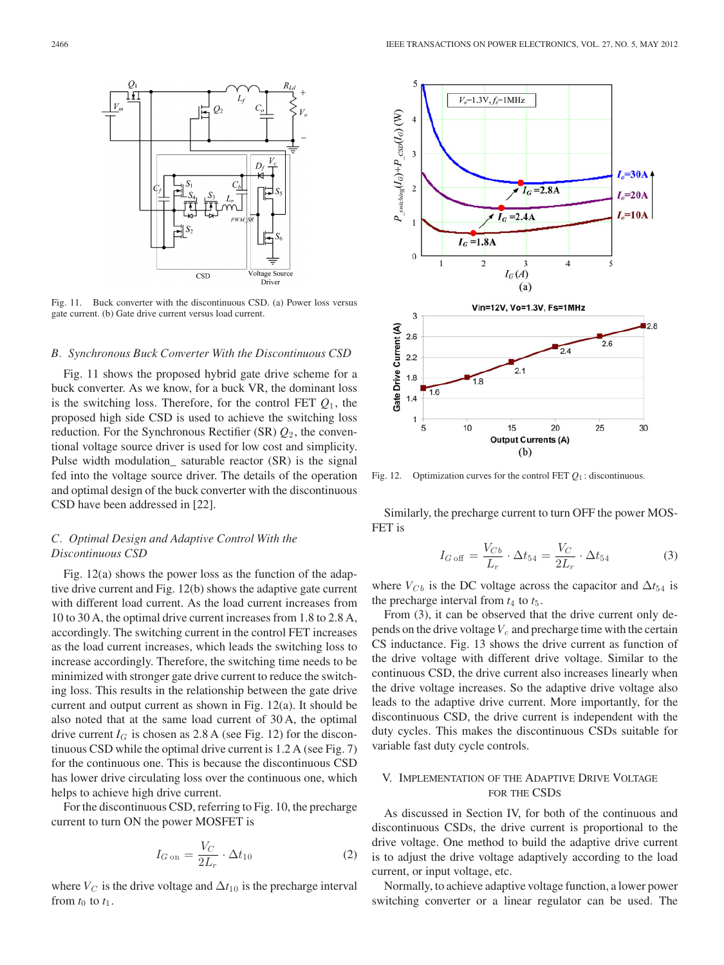

Fig. 11. Buck converter with the discontinuous CSD. (a) Power loss versus gate current. (b) Gate drive current versus load current.

# *B. Synchronous Buck Converter With the Discontinuous CSD*

Fig. 11 shows the proposed hybrid gate drive scheme for a buck converter. As we know, for a buck VR, the dominant loss is the switching loss. Therefore, for the control FET  $Q_1$ , the proposed high side CSD is used to achieve the switching loss reduction. For the Synchronous Rectifier  $(SR)$   $Q_2$ , the conventional voltage source driver is used for low cost and simplicity. Pulse width modulation\_ saturable reactor (SR) is the signal fed into the voltage source driver. The details of the operation and optimal design of the buck converter with the discontinuous CSD have been addressed in [22].

# *C. Optimal Design and Adaptive Control With the Discontinuous CSD*

Fig. 12(a) shows the power loss as the function of the adaptive drive current and Fig. 12(b) shows the adaptive gate current with different load current. As the load current increases from 10 to 30 A, the optimal drive current increases from 1.8 to 2.8 A, accordingly. The switching current in the control FET increases as the load current increases, which leads the switching loss to increase accordingly. Therefore, the switching time needs to be minimized with stronger gate drive current to reduce the switching loss. This results in the relationship between the gate drive current and output current as shown in Fig. 12(a). It should be also noted that at the same load current of 30 A, the optimal drive current  $I_G$  is chosen as 2.8 A (see Fig. 12) for the discontinuous CSD while the optimal drive current is 1.2 A (see Fig. 7) for the continuous one. This is because the discontinuous CSD has lower drive circulating loss over the continuous one, which helps to achieve high drive current.

For the discontinuous CSD, referring to Fig. 10, the precharge current to turn ON the power MOSFET is

$$
I_{G \text{ on }} = \frac{V_C}{2L_r} \cdot \Delta t_{10} \tag{2}
$$

where  $V_C$  is the drive voltage and  $\Delta t_{10}$  is the precharge interval from  $t_0$  to  $t_1$ .



Fig. 12. Optimization curves for the control FET *Q*<sup>1</sup> : discontinuous.

Similarly, the precharge current to turn OFF the power MOS-FET is

$$
I_{G \text{ off}} = \frac{V_{Cb}}{L_r} \cdot \Delta t_{54} = \frac{V_C}{2L_r} \cdot \Delta t_{54}
$$
 (3)

where  $V_{Cb}$  is the DC voltage across the capacitor and  $\Delta t_{54}$  is the precharge interval from  $t_4$  to  $t_5$ .

From (3), it can be observed that the drive current only depends on the drive voltage  $V_c$  and precharge time with the certain CS inductance. Fig. 13 shows the drive current as function of the drive voltage with different drive voltage. Similar to the continuous CSD, the drive current also increases linearly when the drive voltage increases. So the adaptive drive voltage also leads to the adaptive drive current. More importantly, for the discontinuous CSD, the drive current is independent with the duty cycles. This makes the discontinuous CSDs suitable for variable fast duty cycle controls.

# V. IMPLEMENTATION OF THE ADAPTIVE DRIVE VOLTAGE FOR THE CSDS

As discussed in Section IV, for both of the continuous and discontinuous CSDs, the drive current is proportional to the drive voltage. One method to build the adaptive drive current is to adjust the drive voltage adaptively according to the load current, or input voltage, etc.

Normally, to achieve adaptive voltage function, a lower power switching converter or a linear regulator can be used. The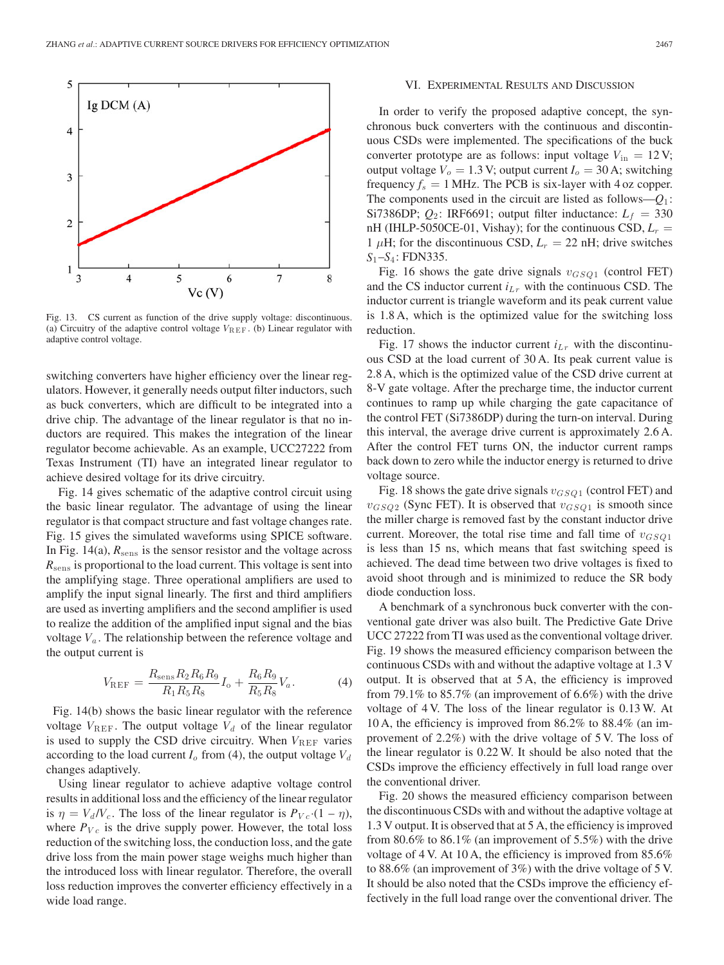

Fig. 13. CS current as function of the drive supply voltage: discontinuous. (a) Circuitry of the adaptive control voltage  $V_{REF}$ . (b) Linear regulator with adaptive control voltage.

switching converters have higher efficiency over the linear regulators. However, it generally needs output filter inductors, such as buck converters, which are difficult to be integrated into a drive chip. The advantage of the linear regulator is that no inductors are required. This makes the integration of the linear regulator become achievable. As an example, UCC27222 from Texas Instrument (TI) have an integrated linear regulator to achieve desired voltage for its drive circuitry.

Fig. 14 gives schematic of the adaptive control circuit using the basic linear regulator. The advantage of using the linear regulator is that compact structure and fast voltage changes rate. Fig. 15 gives the simulated waveforms using SPICE software. In Fig. 14(a),  $R_{\rm sens}$  is the sensor resistor and the voltage across *R*sens is proportional to the load current. This voltage is sent into the amplifying stage. Three operational amplifiers are used to amplify the input signal linearly. The first and third amplifiers are used as inverting amplifiers and the second amplifier is used to realize the addition of the amplified input signal and the bias voltage  $V_a$ . The relationship between the reference voltage and the output current is

$$
V_{\text{REF}} = \frac{R_{\text{sens}} R_2 R_6 R_9}{R_1 R_5 R_8} I_0 + \frac{R_6 R_9}{R_5 R_8} V_a.
$$
 (4)

Fig. 14(b) shows the basic linear regulator with the reference voltage  $V_{REF}$ . The output voltage  $V_d$  of the linear regulator is used to supply the CSD drive circuitry. When  $V_{REF}$  varies according to the load current  $I_o$  from (4), the output voltage  $V_d$ changes adaptively.

Using linear regulator to achieve adaptive voltage control results in additional loss and the efficiency of the linear regulator is  $\eta = V_d/V_c$ . The loss of the linear regulator is  $P_{V_c}(1 - \eta)$ , where  $P_{V_c}$  is the drive supply power. However, the total loss reduction of the switching loss, the conduction loss, and the gate drive loss from the main power stage weighs much higher than the introduced loss with linear regulator. Therefore, the overall loss reduction improves the converter efficiency effectively in a wide load range.

#### VI. EXPERIMENTAL RESULTS AND DISCUSSION

In order to verify the proposed adaptive concept, the synchronous buck converters with the continuous and discontinuous CSDs were implemented. The specifications of the buck converter prototype are as follows: input voltage  $V_{\text{in}} = 12 \text{ V}$ ; output voltage  $V_0 = 1.3$  V; output current  $I_0 = 30$  A; switching frequency  $f_s = 1$  MHz. The PCB is six-layer with 4 oz copper. The components used in the circuit are listed as follows— $Q_1$ : Si7386DP;  $Q_2$ : IRF6691; output filter inductance:  $L_f = 330$ nH (IHLP-5050CE-01, Vishay); for the continuous CSD,  $L_r =$ 1  $\mu$ H; for the discontinuous CSD,  $L_r = 22$  nH; drive switches *S*<sup>1</sup> –*S*<sup>4</sup> : FDN335.

Fig. 16 shows the gate drive signals  $v_{GSQ1}$  (control FET) and the CS inductor current  $i_{Lr}$  with the continuous CSD. The inductor current is triangle waveform and its peak current value is 1.8 A, which is the optimized value for the switching loss reduction.

Fig. 17 shows the inductor current  $i_{Lr}$  with the discontinuous CSD at the load current of 30 A. Its peak current value is 2.8 A, which is the optimized value of the CSD drive current at 8-V gate voltage. After the precharge time, the inductor current continues to ramp up while charging the gate capacitance of the control FET (Si7386DP) during the turn-on interval. During this interval, the average drive current is approximately 2.6 A. After the control FET turns ON, the inductor current ramps back down to zero while the inductor energy is returned to drive voltage source.

Fig. 18 shows the gate drive signals  $v_{GSQ1}$  (control FET) and  $v_{GSQ2}$  (Sync FET). It is observed that  $v_{GSQ1}$  is smooth since the miller charge is removed fast by the constant inductor drive current. Moreover, the total rise time and fall time of  $v_{GSQ1}$ is less than 15 ns, which means that fast switching speed is achieved. The dead time between two drive voltages is fixed to avoid shoot through and is minimized to reduce the SR body diode conduction loss.

A benchmark of a synchronous buck converter with the conventional gate driver was also built. The Predictive Gate Drive UCC 27222 from TI was used as the conventional voltage driver. Fig. 19 shows the measured efficiency comparison between the continuous CSDs with and without the adaptive voltage at 1.3 V output. It is observed that at 5 A, the efficiency is improved from 79.1% to 85.7% (an improvement of 6.6%) with the drive voltage of 4 V. The loss of the linear regulator is 0.13 W. At 10 A, the efficiency is improved from 86.2% to 88.4% (an improvement of 2.2%) with the drive voltage of 5 V. The loss of the linear regulator is 0.22 W. It should be also noted that the CSDs improve the efficiency effectively in full load range over the conventional driver.

Fig. 20 shows the measured efficiency comparison between the discontinuous CSDs with and without the adaptive voltage at 1.3 V output. It is observed that at 5 A, the efficiency is improved from 80.6% to 86.1% (an improvement of 5.5%) with the drive voltage of 4 V. At 10 A, the efficiency is improved from 85.6% to 88.6% (an improvement of 3%) with the drive voltage of 5 V. It should be also noted that the CSDs improve the efficiency effectively in the full load range over the conventional driver. The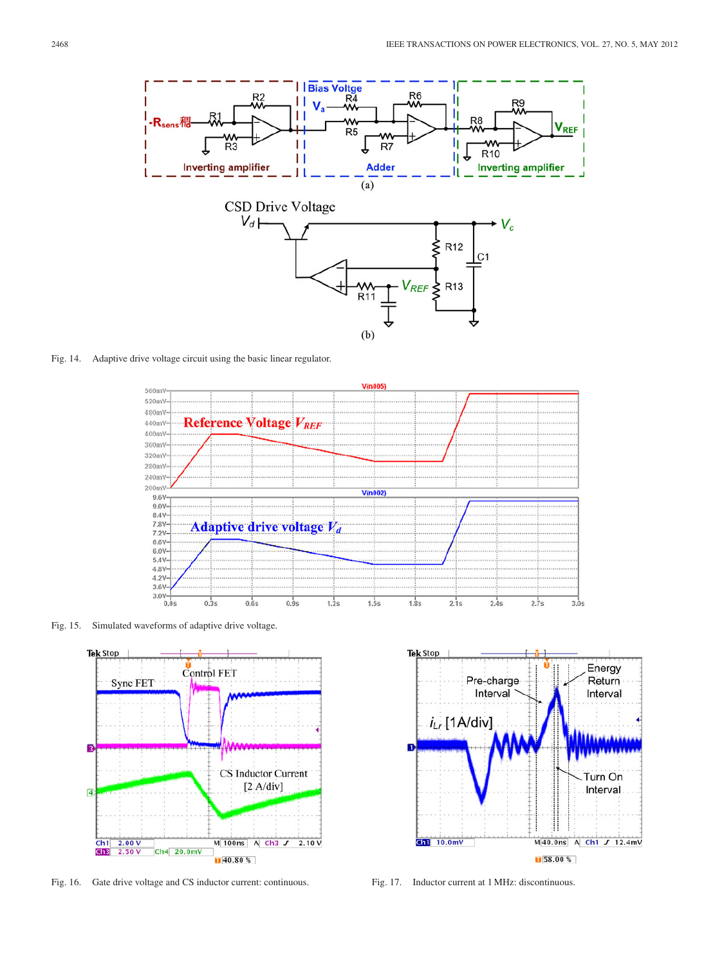

Fig. 14. Adaptive drive voltage circuit using the basic linear regulator.



Fig. 15. Simulated waveforms of adaptive drive voltage.



Fig. 16. Gate drive voltage and CS inductor current: continuous. Fig. 17. Inductor current at 1 MHz: discontinuous.

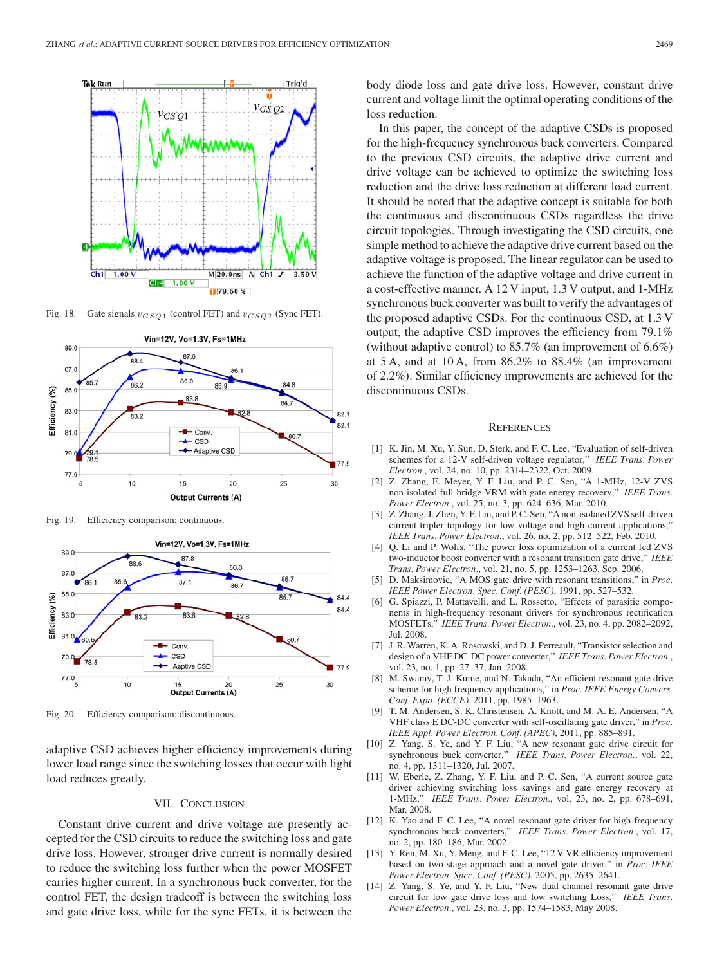

Fig. 18. Gate signals  $v_{GSQ1}$  (control FET) and  $v_{GSQ2}$  (Sync FET).



Fig. 19. Efficiency comparison: continuous.



Fig. 20. Efficiency comparison: discontinuous.

adaptive CSD achieves higher efficiency improvements during lower load range since the switching losses that occur with light load reduces greatly.

# VII. CONCLUSION

Constant drive current and drive voltage are presently accepted for the CSD circuits to reduce the switching loss and gate drive loss. However, stronger drive current is normally desired to reduce the switching loss further when the power MOSFET carries higher current. In a synchronous buck converter, for the control FET, the design tradeoff is between the switching loss and gate drive loss, while for the sync FETs, it is between the body diode loss and gate drive loss. However, constant drive current and voltage limit the optimal operating conditions of the loss reduction.

In this paper, the concept of the adaptive CSDs is proposed for the high-frequency synchronous buck converters. Compared to the previous CSD circuits, the adaptive drive current and drive voltage can be achieved to optimize the switching loss reduction and the drive loss reduction at different load current. It should be noted that the adaptive concept is suitable for both the continuous and discontinuous CSDs regardless the drive circuit topologies. Through investigating the CSD circuits, one simple method to achieve the adaptive drive current based on the adaptive voltage is proposed. The linear regulator can be used to achieve the function of the adaptive voltage and drive current in a cost-effective manner. A 12 V input, 1.3 V output, and 1-MHz synchronous buck converter was built to verify the advantages of the proposed adaptive CSDs. For the continuous CSD, at 1.3 V output, the adaptive CSD improves the efficiency from 79.1% (without adaptive control) to 85.7% (an improvement of 6.6%) at 5 A, and at 10 A, from 86.2% to 88.4% (an improvement of 2.2%). Similar efficiency improvements are achieved for the discontinuous CSDs.

#### **REFERENCES**

- [1] K. Jin, M. Xu, Y. Sun, D. Sterk, and F. C. Lee, "Evaluation of self-driven schemes for a 12-V self-driven voltage regulator," *IEEE Trans. Power Electron.*, vol. 24, no. 10, pp. 2314–2322, Oct. 2009.
- [2] Z. Zhang, E. Meyer, Y. F. Liu, and P. C. Sen, "A 1-MHz, 12-V ZVS non-isolated full-bridge VRM with gate energy recovery," *IEEE Trans. Power Electron.*, vol. 25, no. 3, pp. 624–636, Mar. 2010.
- [3] Z. Zhang, J. Zhen, Y. F. Liu, and P. C. Sen, "A non-isolated ZVS self-driven current tripler topology for low voltage and high current applications, *IEEE Trans. Power Electron.*, vol. 26, no. 2, pp. 512–522, Feb. 2010.
- [4] Q. Li and P. Wolfs, "The power loss optimization of a current fed ZVS two-inductor boost converter with a resonant transition gate drive," *IEEE Trans. Power Electron.*, vol. 21, no. 5, pp. 1253–1263, Sep. 2006.
- [5] D. Maksimovic, "A MOS gate drive with resonant transitions," in *Proc. IEEE Power Electron. Spec. Conf. (PESC)*, 1991, pp. 527–532.
- [6] G. Spiazzi, P. Mattavelli, and L. Rossetto, "Effects of parasitic components in high-frequency resonant drivers for synchronous rectification MOSFETs," *IEEE Trans. Power Electron.*, vol. 23, no. 4, pp. 2082–2092, Jul. 2008.
- [7] J. R. Warren, K. A. Rosowski, and D. J. Perreault, "Transistor selection and design of a VHF DC-DC power converter," *IEEE Trans. Power Electron.*, vol. 23, no. 1, pp. 27–37, Jan. 2008.
- [8] M. Swamy, T. J. Kume, and N. Takada, "An efficient resonant gate drive scheme for high frequency applications," in *Proc. IEEE Energy Convers. Conf. Expo. (ECCE)*, 2011, pp. 1985–1963.
- [9] T. M. Andersen, S. K. Christensen, A. Knott, and M. A. E. Andersen, "A VHF class E DC-DC converter with self-oscillating gate driver," in *Proc. IEEE Appl. Power Electron. Conf. (APEC)*, 2011, pp. 885–891.
- [10] Z. Yang, S. Ye, and Y. F. Liu, "A new resonant gate drive circuit for synchronous buck converter," *IEEE Trans. Power Electron.*, vol. 22, no. 4, pp. 1311–1320, Jul. 2007.
- [11] W. Eberle, Z. Zhang, Y. F. Liu, and P. C. Sen, "A current source gate driver achieving switching loss savings and gate energy recovery at 1-MHz," *IEEE Trans. Power Electron.*, vol. 23, no. 2, pp. 678–691, Mar. 2008.
- [12] K. Yao and F. C. Lee, "A novel resonant gate driver for high frequency synchronous buck converters," *IEEE Trans. Power Electron.*, vol. 17, no. 2, pp. 180–186, Mar. 2002.
- [13] Y. Ren, M. Xu, Y. Meng, and F. C. Lee, "12 V VR efficiency improvement based on two-stage approach and a novel gate driver," in *Proc. IEEE Power Electron. Spec. Conf. (PESC)*, 2005, pp. 2635–2641.
- [14] Z. Yang, S. Ye, and Y. F. Liu, "New dual channel resonant gate drive circuit for low gate drive loss and low switching Loss," *IEEE Trans. Power Electron.*, vol. 23, no. 3, pp. 1574–1583, May 2008.